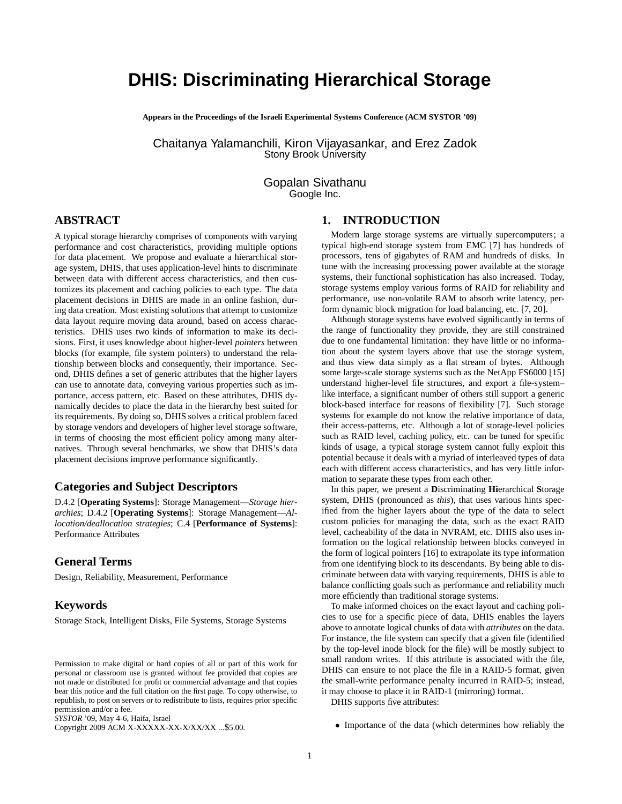# **DHIS: Discriminating Hierarchical Storage**

**Appears in the Proceedings of the Israeli Experimental Systems Conference (ACM SYSTOR '09)**

Chaitanya Yalamanchili, Kiron Vijayasankar, and Erez Zadok Stony Brook University

> Gopalan Sivathanu Google Inc.

# **ABSTRACT**

A typical storage hierarchy comprises of components with varying performance and cost characteristics, providing multiple options for data placement. We propose and evaluate a hierarchical storage system, DHIS, that uses application-level hints to discriminate between data with different access characteristics, and then customizes its placement and caching policies to each type. The data placement decisions in DHIS are made in an online fashion, during data creation. Most existing solutions that attempt to customize data layout require moving data around, based on access characteristics. DHIS uses two kinds of information to make its decisions. First, it uses knowledge about higher-level *pointers* between blocks (for example, file system pointers) to understand the relationship between blocks and consequently, their importance. Second, DHIS defines a set of generic attributes that the higher layers can use to annotate data, conveying various properties such as importance, access pattern, etc. Based on these attributes, DHIS dynamically decides to place the data in the hierarchy best suited for its requirements. By doing so, DHIS solves a critical problem faced by storage vendors and developers of higher level storage software, in terms of choosing the most efficient policy among many alternatives. Through several benchmarks, we show that DHIS's data placement decisions improve performance significantly.

# **Categories and Subject Descriptors**

D.4.2 [**Operating Systems**]: Storage Management—*Storage hierarchies*; D.4.2 [**Operating Systems**]: Storage Management—*Allocation/deallocation strategies*; C.4 [**Performance of Systems**]: Performance Attributes

## **General Terms**

Design, Reliability, Measurement, Performance

## **Keywords**

Storage Stack, Intelligent Disks, File Systems, Storage Systems

*SYSTOR* '09, May 4-6, Haifa, Israel

Copyright 2009 ACM X-XXXXX-XX-X/XX/XX ...\$5.00.

# **1. INTRODUCTION**

Modern large storage systems are virtually supercomputers; a typical high-end storage system from EMC [7] has hundreds of processors, tens of gigabytes of RAM and hundreds of disks. In tune with the increasing processing power available at the storage systems, their functional sophistication has also increased. Today, storage systems employ various forms of RAID for reliability and performance, use non-volatile RAM to absorb write latency, perform dynamic block migration for load balancing, etc. [7, 20].

Although storage systems have evolved significantly in terms of the range of functionality they provide, they are still constrained due to one fundamental limitation: they have little or no information about the system layers above that use the storage system, and thus view data simply as a flat stream of bytes. Although some large-scale storage systems such as the NetApp FS6000 [15] understand higher-level file structures, and export a file-system– like interface, a significant number of others still support a generic block-based interface for reasons of flexibility [7]. Such storage systems for example do not know the relative importance of data, their access-patterns, etc. Although a lot of storage-level policies such as RAID level, caching policy, etc. can be tuned for specific kinds of usage, a typical storage system cannot fully exploit this potential because it deals with a myriad of interleaved types of data each with different access characteristics, and has very little information to separate these types from each other.

In this paper, we present a **D**iscriminating **Hi**erarchical **S**torage system, DHIS (pronounced as *this*), that uses various hints specified from the higher layers about the type of the data to select custom policies for managing the data, such as the exact RAID level, cacheability of the data in NVRAM, etc. DHIS also uses information on the logical relationship between blocks conveyed in the form of logical pointers [16] to extrapolate its type information from one identifying block to its descendants. By being able to discriminate between data with varying requirements, DHIS is able to balance conflicting goals such as performance and reliability much more efficiently than traditional storage systems.

To make informed choices on the exact layout and caching policies to use for a specific piece of data, DHIS enables the layers above to annotate logical chunks of data with *attributes* on the data. For instance, the file system can specify that a given file (identified by the top-level inode block for the file) will be mostly subject to small random writes. If this attribute is associated with the file, DHIS can ensure to not place the file in a RAID-5 format, given the small-write performance penalty incurred in RAID-5; instead, it may choose to place it in RAID-1 (mirroring) format.

DHIS supports five attributes:

• Importance of the data (which determines how reliably the

Permission to make digital or hard copies of all or part of this work for personal or classroom use is granted without fee provided that copies are not made or distributed for profit or commercial advantage and that copies bear this notice and the full citation on the first page. To copy otherwise, to republish, to post on servers or to redistribute to lists, requires prior specific permission and/or a fee.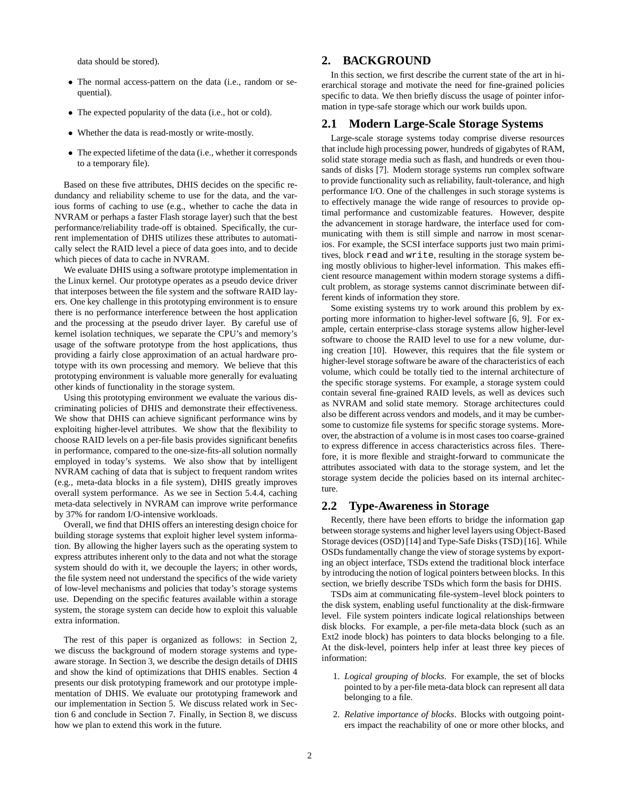data should be stored).

- The normal access-pattern on the data (i.e., random or sequential).
- The expected popularity of the data (i.e., hot or cold).
- Whether the data is read-mostly or write-mostly.
- The expected lifetime of the data (i.e., whether it corresponds to a temporary file).

Based on these five attributes, DHIS decides on the specific redundancy and reliability scheme to use for the data, and the various forms of caching to use (e.g., whether to cache the data in NVRAM or perhaps a faster Flash storage layer) such that the best performance/reliability trade-off is obtained. Specifically, the current implementation of DHIS utilizes these attributes to automatically select the RAID level a piece of data goes into, and to decide which pieces of data to cache in NVRAM.

We evaluate DHIS using a software prototype implementation in the Linux kernel. Our prototype operates as a pseudo device driver that interposes between the file system and the software RAID layers. One key challenge in this prototyping environment is to ensure there is no performance interference between the host application and the processing at the pseudo driver layer. By careful use of kernel isolation techniques, we separate the CPU's and memory's usage of the software prototype from the host applications, thus providing a fairly close approximation of an actual hardware prototype with its own processing and memory. We believe that this prototyping environment is valuable more generally for evaluating other kinds of functionality in the storage system.

Using this prototyping environment we evaluate the various discriminating policies of DHIS and demonstrate their effectiveness. We show that DHIS can achieve significant performance wins by exploiting higher-level attributes. We show that the flexibility to choose RAID levels on a per-file basis provides significant benefits in performance, compared to the one-size-fits-all solution normally employed in today's systems. We also show that by intelligent NVRAM caching of data that is subject to frequent random writes (e.g., meta-data blocks in a file system), DHIS greatly improves overall system performance. As we see in Section 5.4.4, caching meta-data selectively in NVRAM can improve write performance by 37% for random I/O-intensive workloads.

Overall, we find that DHIS offers an interesting design choice for building storage systems that exploit higher level system information. By allowing the higher layers such as the operating system to express attributes inherent only to the data and not what the storage system should do with it, we decouple the layers; in other words, the file system need not understand the specifics of the wide variety of low-level mechanisms and policies that today's storage systems use. Depending on the specific features available within a storage system, the storage system can decide how to exploit this valuable extra information.

The rest of this paper is organized as follows: in Section 2, we discuss the background of modern storage systems and typeaware storage. In Section 3, we describe the design details of DHIS and show the kind of optimizations that DHIS enables. Section 4 presents our disk prototyping framework and our prototype implementation of DHIS. We evaluate our prototyping framework and our implementation in Section 5. We discuss related work in Section 6 and conclude in Section 7. Finally, in Section 8, we discuss how we plan to extend this work in the future.

# **2. BACKGROUND**

In this section, we first describe the current state of the art in hierarchical storage and motivate the need for fine-grained policies specific to data. We then briefly discuss the usage of pointer information in type-safe storage which our work builds upon.

# **2.1 Modern Large-Scale Storage Systems**

Large-scale storage systems today comprise diverse resources that include high processing power, hundreds of gigabytes of RAM, solid state storage media such as flash, and hundreds or even thousands of disks [7]. Modern storage systems run complex software to provide functionality such as reliability, fault-tolerance, and high performance I/O. One of the challenges in such storage systems is to effectively manage the wide range of resources to provide optimal performance and customizable features. However, despite the advancement in storage hardware, the interface used for communicating with them is still simple and narrow in most scenarios. For example, the SCSI interface supports just two main primitives, block read and write, resulting in the storage system being mostly oblivious to higher-level information. This makes efficient resource management within modern storage systems a difficult problem, as storage systems cannot discriminate between different kinds of information they store.

Some existing systems try to work around this problem by exporting more information to higher-level software [6, 9]. For example, certain enterprise-class storage systems allow higher-level software to choose the RAID level to use for a new volume, during creation [10]. However, this requires that the file system or higher-level storage software be aware of the characteristics of each volume, which could be totally tied to the internal architecture of the specific storage systems. For example, a storage system could contain several fine-grained RAID levels, as well as devices such as NVRAM and solid state memory. Storage architectures could also be different across vendors and models, and it may be cumbersome to customize file systems for specific storage systems. Moreover, the abstraction of a volume is in most cases too coarse-grained to express difference in access characteristics across files. Therefore, it is more flexible and straight-forward to communicate the attributes associated with data to the storage system, and let the storage system decide the policies based on its internal architecture.

## **2.2 Type-Awareness in Storage**

Recently, there have been efforts to bridge the information gap between storage systems and higher level layers using Object-Based Storage devices (OSD) [14] and Type-Safe Disks (TSD) [16]. While OSDs fundamentally change the view of storage systems by exporting an object interface, TSDs extend the traditional block interface by introducing the notion of logical pointers between blocks. In this section, we briefly describe TSDs which form the basis for DHIS.

TSDs aim at communicating file-system–level block pointers to the disk system, enabling useful functionality at the disk-firmware level. File system pointers indicate logical relationships between disk blocks. For example, a per-file meta-data block (such as an Ext2 inode block) has pointers to data blocks belonging to a file. At the disk-level, pointers help infer at least three key pieces of information:

- 1. *Logical grouping of blocks*. For example, the set of blocks pointed to by a per-file meta-data block can represent all data belonging to a file.
- 2. *Relative importance of blocks*. Blocks with outgoing pointers impact the reachability of one or more other blocks, and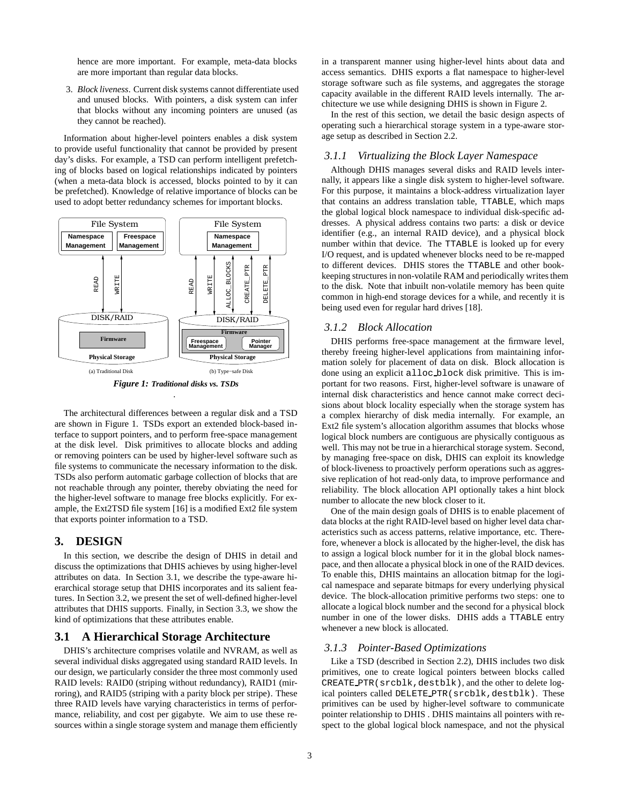hence are more important. For example, meta-data blocks are more important than regular data blocks.

3. *Block liveness*. Current disk systems cannot differentiate used and unused blocks. With pointers, a disk system can infer that blocks without any incoming pointers are unused (as they cannot be reached).

Information about higher-level pointers enables a disk system to provide useful functionality that cannot be provided by present day's disks. For example, a TSD can perform intelligent prefetching of blocks based on logical relationships indicated by pointers (when a meta-data block is accessed, blocks pointed to by it can be prefetched). Knowledge of relative importance of blocks can be used to adopt better redundancy schemes for important blocks.



*Figure 1: Traditional disks vs. TSDs .*

The architectural differences between a regular disk and a TSD are shown in Figure 1. TSDs export an extended block-based interface to support pointers, and to perform free-space management at the disk level. Disk primitives to allocate blocks and adding or removing pointers can be used by higher-level software such as file systems to communicate the necessary information to the disk. TSDs also perform automatic garbage collection of blocks that are not reachable through any pointer, thereby obviating the need for the higher-level software to manage free blocks explicitly. For example, the Ext2TSD file system [16] is a modified Ext2 file system that exports pointer information to a TSD.

# **3. DESIGN**

In this section, we describe the design of DHIS in detail and discuss the optimizations that DHIS achieves by using higher-level attributes on data. In Section 3.1, we describe the type-aware hierarchical storage setup that DHIS incorporates and its salient features. In Section 3.2, we present the set of well-defined higher-level attributes that DHIS supports. Finally, in Section 3.3, we show the kind of optimizations that these attributes enable.

## **3.1 A Hierarchical Storage Architecture**

DHIS's architecture comprises volatile and NVRAM, as well as several individual disks aggregated using standard RAID levels. In our design, we particularly consider the three most commonly used RAID levels: RAID0 (striping without redundancy), RAID1 (mirroring), and RAID5 (striping with a parity block per stripe). These three RAID levels have varying characteristics in terms of performance, reliability, and cost per gigabyte. We aim to use these resources within a single storage system and manage them efficiently

in a transparent manner using higher-level hints about data and access semantics. DHIS exports a flat namespace to higher-level storage software such as file systems, and aggregates the storage capacity available in the different RAID levels internally. The architecture we use while designing DHIS is shown in Figure 2.

In the rest of this section, we detail the basic design aspects of operating such a hierarchical storage system in a type-aware storage setup as described in Section 2.2.

# *3.1.1 Virtualizing the Block Layer Namespace*

Although DHIS manages several disks and RAID levels internally, it appears like a single disk system to higher-level software. For this purpose, it maintains a block-address virtualization layer that contains an address translation table, TTABLE, which maps the global logical block namespace to individual disk-specific addresses. A physical address contains two parts: a disk or device identifier (e.g., an internal RAID device), and a physical block number within that device. The TTABLE is looked up for every I/O request, and is updated whenever blocks need to be re-mapped to different devices. DHIS stores the TTABLE and other bookkeeping structures in non-volatile RAM and periodically writes them to the disk. Note that inbuilt non-volatile memory has been quite common in high-end storage devices for a while, and recently it is being used even for regular hard drives [18].

#### *3.1.2 Block Allocation*

DHIS performs free-space management at the firmware level, thereby freeing higher-level applications from maintaining information solely for placement of data on disk. Block allocation is done using an explicit alloc block disk primitive. This is important for two reasons. First, higher-level software is unaware of internal disk characteristics and hence cannot make correct decisions about block locality especially when the storage system has a complex hierarchy of disk media internally. For example, an Ext2 file system's allocation algorithm assumes that blocks whose logical block numbers are contiguous are physically contiguous as well. This may not be true in a hierarchical storage system. Second, by managing free-space on disk, DHIS can exploit its knowledge of block-liveness to proactively perform operations such as aggressive replication of hot read-only data, to improve performance and reliability. The block allocation API optionally takes a hint block number to allocate the new block closer to it.

One of the main design goals of DHIS is to enable placement of data blocks at the right RAID-level based on higher level data characteristics such as access patterns, relative importance, etc. Therefore, whenever a block is allocated by the higher-level, the disk has to assign a logical block number for it in the global block namespace, and then allocate a physical block in one of the RAID devices. To enable this, DHIS maintains an allocation bitmap for the logical namespace and separate bitmaps for every underlying physical device. The block-allocation primitive performs two steps: one to allocate a logical block number and the second for a physical block number in one of the lower disks. DHIS adds a TTABLE entry whenever a new block is allocated.

#### *3.1.3 Pointer-Based Optimizations*

Like a TSD (described in Section 2.2), DHIS includes two disk primitives, one to create logical pointers between blocks called CREATE PTR(srcblk,destblk), and the other to delete logical pointers called DELETE PTR (srcblk, destblk). These primitives can be used by higher-level software to communicate pointer relationship to DHIS . DHIS maintains all pointers with respect to the global logical block namespace, and not the physical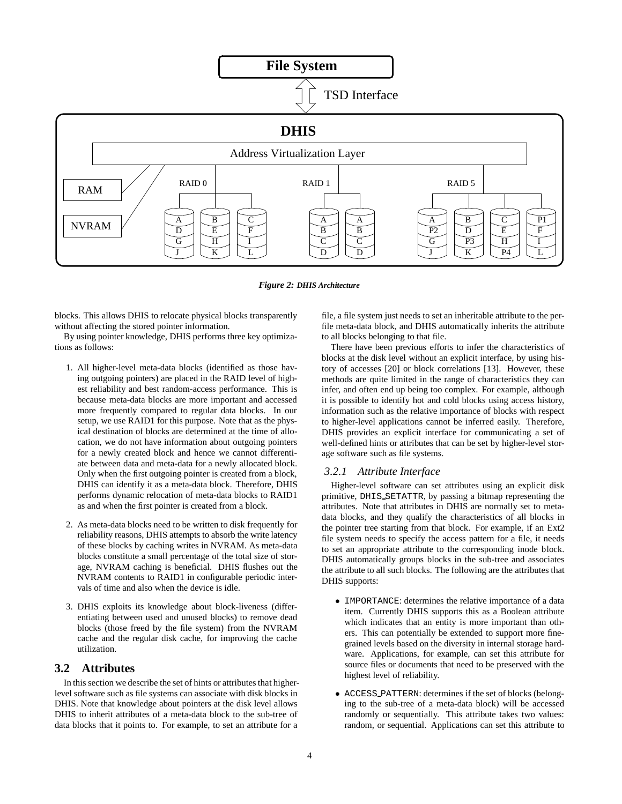

*Figure 2: DHIS Architecture*

blocks. This allows DHIS to relocate physical blocks transparently without affecting the stored pointer information.

By using pointer knowledge, DHIS performs three key optimizations as follows:

- 1. All higher-level meta-data blocks (identified as those having outgoing pointers) are placed in the RAID level of highest reliability and best random-access performance. This is because meta-data blocks are more important and accessed more frequently compared to regular data blocks. In our setup, we use RAID1 for this purpose. Note that as the physical destination of blocks are determined at the time of allocation, we do not have information about outgoing pointers for a newly created block and hence we cannot differentiate between data and meta-data for a newly allocated block. Only when the first outgoing pointer is created from a block, DHIS can identify it as a meta-data block. Therefore, DHIS performs dynamic relocation of meta-data blocks to RAID1 as and when the first pointer is created from a block.
- 2. As meta-data blocks need to be written to disk frequently for reliability reasons, DHIS attempts to absorb the write latency of these blocks by caching writes in NVRAM. As meta-data blocks constitute a small percentage of the total size of storage, NVRAM caching is beneficial. DHIS flushes out the NVRAM contents to RAID1 in configurable periodic intervals of time and also when the device is idle.
- 3. DHIS exploits its knowledge about block-liveness (differentiating between used and unused blocks) to remove dead blocks (those freed by the file system) from the NVRAM cache and the regular disk cache, for improving the cache utilization.

# **3.2 Attributes**

In this section we describe the set of hints or attributes that higherlevel software such as file systems can associate with disk blocks in DHIS. Note that knowledge about pointers at the disk level allows DHIS to inherit attributes of a meta-data block to the sub-tree of data blocks that it points to. For example, to set an attribute for a file, a file system just needs to set an inheritable attribute to the perfile meta-data block, and DHIS automatically inherits the attribute to all blocks belonging to that file.

There have been previous efforts to infer the characteristics of blocks at the disk level without an explicit interface, by using history of accesses [20] or block correlations [13]. However, these methods are quite limited in the range of characteristics they can infer, and often end up being too complex. For example, although it is possible to identify hot and cold blocks using access history, information such as the relative importance of blocks with respect to higher-level applications cannot be inferred easily. Therefore, DHIS provides an explicit interface for communicating a set of well-defined hints or attributes that can be set by higher-level storage software such as file systems.

#### *3.2.1 Attribute Interface*

Higher-level software can set attributes using an explicit disk primitive, DHIS SETATTR, by passing a bitmap representing the attributes. Note that attributes in DHIS are normally set to metadata blocks, and they qualify the characteristics of all blocks in the pointer tree starting from that block. For example, if an Ext2 file system needs to specify the access pattern for a file, it needs to set an appropriate attribute to the corresponding inode block. DHIS automatically groups blocks in the sub-tree and associates the attribute to all such blocks. The following are the attributes that DHIS supports:

- IMPORTANCE: determines the relative importance of a data item. Currently DHIS supports this as a Boolean attribute which indicates that an entity is more important than others. This can potentially be extended to support more finegrained levels based on the diversity in internal storage hardware. Applications, for example, can set this attribute for source files or documents that need to be preserved with the highest level of reliability.
- ACCESS PATTERN: determines if the set of blocks (belonging to the sub-tree of a meta-data block) will be accessed randomly or sequentially. This attribute takes two values: random, or sequential. Applications can set this attribute to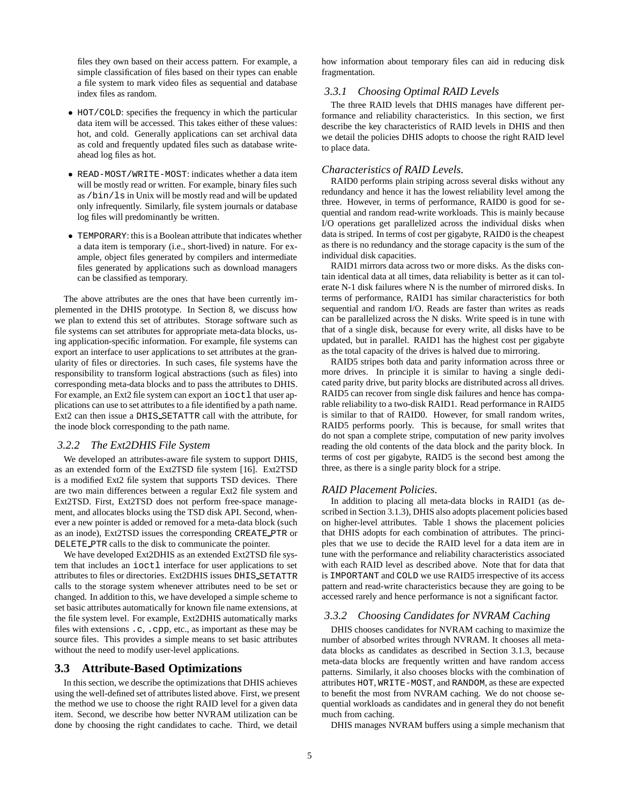files they own based on their access pattern. For example, a simple classification of files based on their types can enable a file system to mark video files as sequential and database index files as random.

- HOT/COLD: specifies the frequency in which the particular data item will be accessed. This takes either of these values: hot, and cold. Generally applications can set archival data as cold and frequently updated files such as database writeahead log files as hot.
- READ-MOST/WRITE-MOST: indicates whether a data item will be mostly read or written. For example, binary files such as /bin/ls in Unix will be mostly read and will be updated only infrequently. Similarly, file system journals or database log files will predominantly be written.
- TEMPORARY: this is a Boolean attribute that indicates whether a data item is temporary (i.e., short-lived) in nature. For example, object files generated by compilers and intermediate files generated by applications such as download managers can be classified as temporary.

The above attributes are the ones that have been currently implemented in the DHIS prototype. In Section 8, we discuss how we plan to extend this set of attributes. Storage software such as file systems can set attributes for appropriate meta-data blocks, using application-specific information. For example, file systems can export an interface to user applications to set attributes at the granularity of files or directories. In such cases, file systems have the responsibility to transform logical abstractions (such as files) into corresponding meta-data blocks and to pass the attributes to DHIS. For example, an Ext2 file system can export an ioct1 that user applications can use to set attributes to a file identified by a path name. Ext2 can then issue a DHIS SETATTR call with the attribute, for the inode block corresponding to the path name.

#### *3.2.2 The Ext2DHIS File System*

We developed an attributes-aware file system to support DHIS, as an extended form of the Ext2TSD file system [16]. Ext2TSD is a modified Ext2 file system that supports TSD devices. There are two main differences between a regular Ext2 file system and Ext2TSD. First, Ext2TSD does not perform free-space management, and allocates blocks using the TSD disk API. Second, whenever a new pointer is added or removed for a meta-data block (such as an inode), Ext2TSD issues the corresponding CREATE\_PTR or DELETE PTR calls to the disk to communicate the pointer.

We have developed Ext2DHIS as an extended Ext2TSD file system that includes an ioctl interface for user applications to set attributes to files or directories. Ext2DHIS issues DHIS SETATTR calls to the storage system whenever attributes need to be set or changed. In addition to this, we have developed a simple scheme to set basic attributes automatically for known file name extensions, at the file system level. For example, Ext2DHIS automatically marks files with extensions .c, .cpp, etc., as important as these may be source files. This provides a simple means to set basic attributes without the need to modify user-level applications.

# **3.3 Attribute-Based Optimizations**

In this section, we describe the optimizations that DHIS achieves using the well-defined set of attributes listed above. First, we present the method we use to choose the right RAID level for a given data item. Second, we describe how better NVRAM utilization can be done by choosing the right candidates to cache. Third, we detail

how information about temporary files can aid in reducing disk fragmentation.

#### *3.3.1 Choosing Optimal RAID Levels*

The three RAID levels that DHIS manages have different performance and reliability characteristics. In this section, we first describe the key characteristics of RAID levels in DHIS and then we detail the policies DHIS adopts to choose the right RAID level to place data.

#### *Characteristics of RAID Levels.*

RAID0 performs plain striping across several disks without any redundancy and hence it has the lowest reliability level among the three. However, in terms of performance, RAID0 is good for sequential and random read-write workloads. This is mainly because I/O operations get parallelized across the individual disks when data is striped. In terms of cost per gigabyte, RAID0 is the cheapest as there is no redundancy and the storage capacity is the sum of the individual disk capacities.

RAID1 mirrors data across two or more disks. As the disks contain identical data at all times, data reliability is better as it can tolerate N-1 disk failures where N is the number of mirrored disks. In terms of performance, RAID1 has similar characteristics for both sequential and random I/O. Reads are faster than writes as reads can be parallelized across the N disks. Write speed is in tune with that of a single disk, because for every write, all disks have to be updated, but in parallel. RAID1 has the highest cost per gigabyte as the total capacity of the drives is halved due to mirroring.

RAID5 stripes both data and parity information across three or more drives. In principle it is similar to having a single dedicated parity drive, but parity blocks are distributed across all drives. RAID5 can recover from single disk failures and hence has comparable reliability to a two-disk RAID1. Read performance in RAID5 is similar to that of RAID0. However, for small random writes, RAID5 performs poorly. This is because, for small writes that do not span a complete stripe, computation of new parity involves reading the old contents of the data block and the parity block. In terms of cost per gigabyte, RAID5 is the second best among the three, as there is a single parity block for a stripe.

#### *RAID Placement Policies.*

In addition to placing all meta-data blocks in RAID1 (as described in Section 3.1.3), DHIS also adopts placement policies based on higher-level attributes. Table 1 shows the placement policies that DHIS adopts for each combination of attributes. The principles that we use to decide the RAID level for a data item are in tune with the performance and reliability characteristics associated with each RAID level as described above. Note that for data that is IMPORTANT and COLD we use RAID5 irrespective of its access pattern and read-write characteristics because they are going to be accessed rarely and hence performance is not a significant factor.

#### *3.3.2 Choosing Candidates for NVRAM Caching*

DHIS chooses candidates for NVRAM caching to maximize the number of absorbed writes through NVRAM. It chooses all metadata blocks as candidates as described in Section 3.1.3, because meta-data blocks are frequently written and have random access patterns. Similarly, it also chooses blocks with the combination of attributes HOT, WRITE-MOST, and RANDOM, as these are expected to benefit the most from NVRAM caching. We do not choose sequential workloads as candidates and in general they do not benefit much from caching.

DHIS manages NVRAM buffers using a simple mechanism that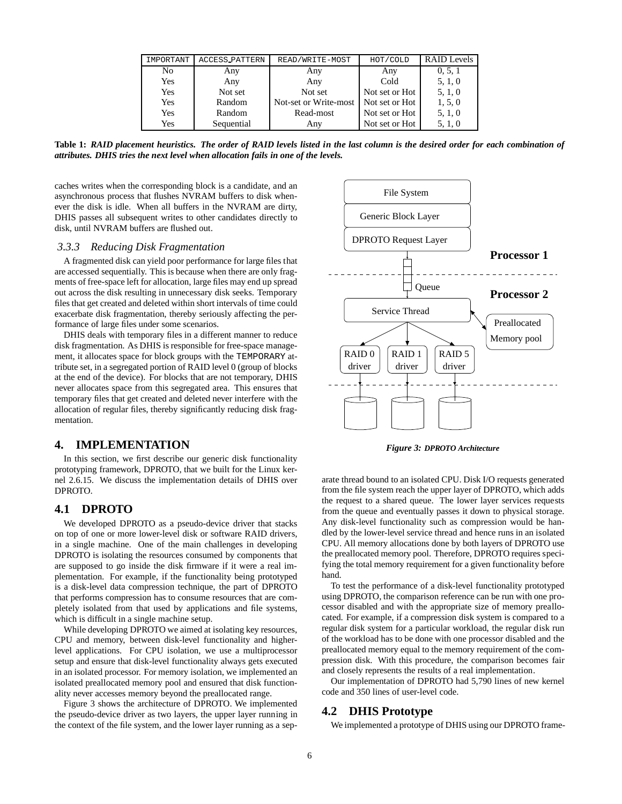| IMPORTANT | <b>ACCESS_PATTERN</b> | READ/WRITE-MOST       | HOT/COLD       | <b>RAID</b> Levels |
|-----------|-----------------------|-----------------------|----------------|--------------------|
| No.       | Any                   | Any                   | Any            | 0, 5, 1            |
| Yes       | Any                   | Any                   | Cold           | 5, 1, 0            |
| Yes       | Not set               | Not set               | Not set or Hot | 5, 1, 0            |
| Yes       | Random                | Not-set or Write-most | Not set or Hot | 1, 5, 0            |
| Yes       | Random                | Read-most             | Not set or Hot | 5, 1, 0            |
| Yes       | Sequential            | Any                   | Not set or Hot | 5, 1, 0            |

**Table 1:** *RAID placement heuristics. The order of RAID levels listed in the last column is the desired order for each combination of attributes. DHIS tries the next level when allocation fails in one of the levels.*

caches writes when the corresponding block is a candidate, and an asynchronous process that flushes NVRAM buffers to disk whenever the disk is idle. When all buffers in the NVRAM are dirty, DHIS passes all subsequent writes to other candidates directly to disk, until NVRAM buffers are flushed out.

#### *3.3.3 Reducing Disk Fragmentation*

A fragmented disk can yield poor performance for large files that are accessed sequentially. This is because when there are only fragments of free-space left for allocation, large files may end up spread out across the disk resulting in unnecessary disk seeks. Temporary files that get created and deleted within short intervals of time could exacerbate disk fragmentation, thereby seriously affecting the performance of large files under some scenarios.

DHIS deals with temporary files in a different manner to reduce disk fragmentation. As DHIS is responsible for free-space management, it allocates space for block groups with the TEMPORARY attribute set, in a segregated portion of RAID level 0 (group of blocks at the end of the device). For blocks that are not temporary, DHIS never allocates space from this segregated area. This ensures that temporary files that get created and deleted never interfere with the allocation of regular files, thereby significantly reducing disk fragmentation.

## **4. IMPLEMENTATION**

In this section, we first describe our generic disk functionality prototyping framework, DPROTO, that we built for the Linux kernel 2.6.15. We discuss the implementation details of DHIS over DPROTO.

#### **4.1 DPROTO**

We developed DPROTO as a pseudo-device driver that stacks on top of one or more lower-level disk or software RAID drivers, in a single machine. One of the main challenges in developing DPROTO is isolating the resources consumed by components that are supposed to go inside the disk firmware if it were a real implementation. For example, if the functionality being prototyped is a disk-level data compression technique, the part of DPROTO that performs compression has to consume resources that are completely isolated from that used by applications and file systems, which is difficult in a single machine setup.

While developing DPROTO we aimed at isolating key resources, CPU and memory, between disk-level functionality and higherlevel applications. For CPU isolation, we use a multiprocessor setup and ensure that disk-level functionality always gets executed in an isolated processor. For memory isolation, we implemented an isolated preallocated memory pool and ensured that disk functionality never accesses memory beyond the preallocated range.

Figure 3 shows the architecture of DPROTO. We implemented the pseudo-device driver as two layers, the upper layer running in the context of the file system, and the lower layer running as a sep-



*Figure 3: DPROTO Architecture*

arate thread bound to an isolated CPU. Disk I/O requests generated from the file system reach the upper layer of DPROTO, which adds the request to a shared queue. The lower layer services requests from the queue and eventually passes it down to physical storage. Any disk-level functionality such as compression would be handled by the lower-level service thread and hence runs in an isolated CPU. All memory allocations done by both layers of DPROTO use the preallocated memory pool. Therefore, DPROTO requires specifying the total memory requirement for a given functionality before hand.

To test the performance of a disk-level functionality prototyped using DPROTO, the comparison reference can be run with one processor disabled and with the appropriate size of memory preallocated. For example, if a compression disk system is compared to a regular disk system for a particular workload, the regular disk run of the workload has to be done with one processor disabled and the preallocated memory equal to the memory requirement of the compression disk. With this procedure, the comparison becomes fair and closely represents the results of a real implementation.

Our implementation of DPROTO had 5,790 lines of new kernel code and 350 lines of user-level code.

# **4.2 DHIS Prototype**

We implemented a prototype of DHIS using our DPROTO frame-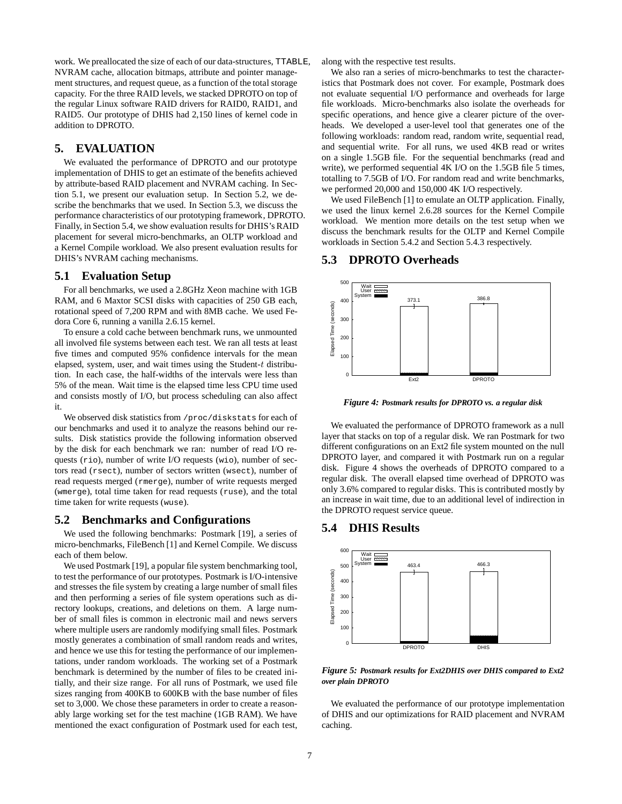work. We preallocated the size of each of our data-structures, TTABLE, NVRAM cache, allocation bitmaps, attribute and pointer management structures, and request queue, as a function of the total storage capacity. For the three RAID levels, we stacked DPROTO on top of the regular Linux software RAID drivers for RAID0, RAID1, and RAID5. Our prototype of DHIS had 2,150 lines of kernel code in addition to DPROTO.

# **5. EVALUATION**

We evaluated the performance of DPROTO and our prototype implementation of DHIS to get an estimate of the benefits achieved by attribute-based RAID placement and NVRAM caching. In Section 5.1, we present our evaluation setup. In Section 5.2, we describe the benchmarks that we used. In Section 5.3, we discuss the performance characteristics of our prototyping framework, DPROTO. Finally, in Section 5.4, we show evaluation results for DHIS's RAID placement for several micro-benchmarks, an OLTP workload and a Kernel Compile workload. We also present evaluation results for DHIS's NVRAM caching mechanisms.

# **5.1 Evaluation Setup**

For all benchmarks, we used a 2.8GHz Xeon machine with 1GB RAM, and 6 Maxtor SCSI disks with capacities of 250 GB each, rotational speed of 7,200 RPM and with 8MB cache. We used Fedora Core 6, running a vanilla 2.6.15 kernel.

To ensure a cold cache between benchmark runs, we unmounted all involved file systems between each test. We ran all tests at least five times and computed 95% confidence intervals for the mean elapsed, system, user, and wait times using the Student- $t$  distribution. In each case, the half-widths of the intervals were less than 5% of the mean. Wait time is the elapsed time less CPU time used and consists mostly of I/O, but process scheduling can also affect it.

We observed disk statistics from /proc/diskstats for each of our benchmarks and used it to analyze the reasons behind our results. Disk statistics provide the following information observed by the disk for each benchmark we ran: number of read I/O requests (rio), number of write I/O requests (wio), number of sectors read (rsect), number of sectors written (wsect), number of read requests merged (rmerge), number of write requests merged (wmerge), total time taken for read requests (ruse), and the total time taken for write requests (wuse).

## **5.2 Benchmarks and Configurations**

We used the following benchmarks: Postmark [19], a series of micro-benchmarks, FileBench [1] and Kernel Compile. We discuss each of them below.

We used Postmark [19], a popular file system benchmarking tool, to test the performance of our prototypes. Postmark is I/O-intensive and stresses the file system by creating a large number of small files and then performing a series of file system operations such as directory lookups, creations, and deletions on them. A large number of small files is common in electronic mail and news servers where multiple users are randomly modifying small files. Postmark mostly generates a combination of small random reads and writes, and hence we use this for testing the performance of our implementations, under random workloads. The working set of a Postmark benchmark is determined by the number of files to be created initially, and their size range. For all runs of Postmark, we used file sizes ranging from 400KB to 600KB with the base number of files set to 3,000. We chose these parameters in order to create a reasonably large working set for the test machine (1GB RAM). We have mentioned the exact configuration of Postmark used for each test,

along with the respective test results.

We also ran a series of micro-benchmarks to test the characteristics that Postmark does not cover. For example, Postmark does not evaluate sequential I/O performance and overheads for large file workloads. Micro-benchmarks also isolate the overheads for specific operations, and hence give a clearer picture of the overheads. We developed a user-level tool that generates one of the following workloads: random read, random write, sequential read, and sequential write. For all runs, we used 4KB read or writes on a single 1.5GB file. For the sequential benchmarks (read and write), we performed sequential 4K I/O on the 1.5GB file 5 times, totalling to 7.5GB of I/O. For random read and write benchmarks, we performed 20,000 and 150,000 4K I/O respectively.

We used FileBench [1] to emulate an OLTP application. Finally, we used the linux kernel 2.6.28 sources for the Kernel Compile workload. We mention more details on the test setup when we discuss the benchmark results for the OLTP and Kernel Compile workloads in Section 5.4.2 and Section 5.4.3 respectively.

# **5.3 DPROTO Overheads**



*Figure 4: Postmark results for DPROTO vs. a regular disk*

We evaluated the performance of DPROTO framework as a null layer that stacks on top of a regular disk. We ran Postmark for two different configurations on an Ext2 file system mounted on the null DPROTO layer, and compared it with Postmark run on a regular disk. Figure 4 shows the overheads of DPROTO compared to a regular disk. The overall elapsed time overhead of DPROTO was only 3.6% compared to regular disks. This is contributed mostly by an increase in wait time, due to an additional level of indirection in the DPROTO request service queue.

# **5.4 DHIS Results**



*Figure 5: Postmark results for Ext2DHIS over DHIS compared to Ext2 over plain DPROTO*

We evaluated the performance of our prototype implementation of DHIS and our optimizations for RAID placement and NVRAM caching.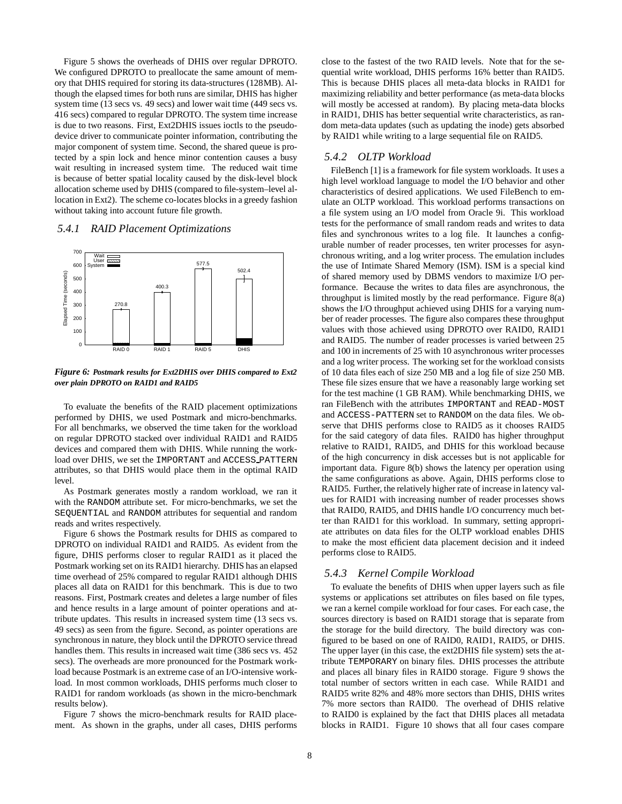Figure 5 shows the overheads of DHIS over regular DPROTO. We configured DPROTO to preallocate the same amount of memory that DHIS required for storing its data-structures (128MB). Although the elapsed times for both runs are similar, DHIS has higher system time (13 secs vs. 49 secs) and lower wait time (449 secs vs. 416 secs) compared to regular DPROTO. The system time increase is due to two reasons. First, Ext2DHIS issues ioctls to the pseudodevice driver to communicate pointer information, contributing the major component of system time. Second, the shared queue is protected by a spin lock and hence minor contention causes a busy wait resulting in increased system time. The reduced wait time is because of better spatial locality caused by the disk-level block allocation scheme used by DHIS (compared to file-system–level allocation in Ext2). The scheme co-locates blocks in a greedy fashion without taking into account future file growth.

#### *5.4.1 RAID Placement Optimizations*



#### *Figure 6: Postmark results for Ext2DHIS over DHIS compared to Ext2 over plain DPROTO on RAID1 and RAID5*

To evaluate the benefits of the RAID placement optimizations performed by DHIS, we used Postmark and micro-benchmarks. For all benchmarks, we observed the time taken for the workload on regular DPROTO stacked over individual RAID1 and RAID5 devices and compared them with DHIS. While running the workload over DHIS, we set the IMPORTANT and ACCESS PATTERN attributes, so that DHIS would place them in the optimal RAID level.

As Postmark generates mostly a random workload, we ran it with the RANDOM attribute set. For micro-benchmarks, we set the SEQUENTIAL and RANDOM attributes for sequential and random reads and writes respectively.

Figure 6 shows the Postmark results for DHIS as compared to DPROTO on individual RAID1 and RAID5. As evident from the figure, DHIS performs closer to regular RAID1 as it placed the Postmark working set on its RAID1 hierarchy. DHIS has an elapsed time overhead of 25% compared to regular RAID1 although DHIS places all data on RAID1 for this benchmark. This is due to two reasons. First, Postmark creates and deletes a large number of files and hence results in a large amount of pointer operations and attribute updates. This results in increased system time (13 secs vs. 49 secs) as seen from the figure. Second, as pointer operations are synchronous in nature, they block until the DPROTO service thread handles them. This results in increased wait time (386 secs vs. 452 secs). The overheads are more pronounced for the Postmark workload because Postmark is an extreme case of an I/O-intensive workload. In most common workloads, DHIS performs much closer to RAID1 for random workloads (as shown in the micro-benchmark results below).

Figure 7 shows the micro-benchmark results for RAID placement. As shown in the graphs, under all cases, DHIS performs close to the fastest of the two RAID levels. Note that for the sequential write workload, DHIS performs 16% better than RAID5. This is because DHIS places all meta-data blocks in RAID1 for maximizing reliability and better performance (as meta-data blocks will mostly be accessed at random). By placing meta-data blocks in RAID1, DHIS has better sequential write characteristics, as random meta-data updates (such as updating the inode) gets absorbed by RAID1 while writing to a large sequential file on RAID5.

# *5.4.2 OLTP Workload*

FileBench [1] is a framework for file system workloads. It uses a high level workload language to model the I/O behavior and other characteristics of desired applications. We used FileBench to emulate an OLTP workload. This workload performs transactions on a file system using an I/O model from Oracle 9i. This workload tests for the performance of small random reads and writes to data files and synchronous writes to a log file. It launches a configurable number of reader processes, ten writer processes for asynchronous writing, and a log writer process. The emulation includes the use of Intimate Shared Memory (ISM). ISM is a special kind of shared memory used by DBMS vendors to maximize I/O performance. Because the writes to data files are asynchronous, the throughput is limited mostly by the read performance. Figure 8(a) shows the I/O throughput achieved using DHIS for a varying number of reader processes. The figure also compares these throughput values with those achieved using DPROTO over RAID0, RAID1 and RAID5. The number of reader processes is varied between 25 and 100 in increments of 25 with 10 asynchronous writer processes and a log writer process. The working set for the workload consists of 10 data files each of size 250 MB and a log file of size 250 MB. These file sizes ensure that we have a reasonably large working set for the test machine (1 GB RAM). While benchmarking DHIS, we ran FileBench with the attributes IMPORTANT and READ-MOST and ACCESS-PATTERN set to RANDOM on the data files. We observe that DHIS performs close to RAID5 as it chooses RAID5 for the said category of data files. RAID0 has higher throughput relative to RAID1, RAID5, and DHIS for this workload because of the high concurrency in disk accesses but is not applicable for important data. Figure 8(b) shows the latency per operation using the same configurations as above. Again, DHIS performs close to RAID5. Further, the relatively higher rate of increase in latency values for RAID1 with increasing number of reader processes shows that RAID0, RAID5, and DHIS handle I/O concurrency much better than RAID1 for this workload. In summary, setting appropriate attributes on data files for the OLTP workload enables DHIS to make the most efficient data placement decision and it indeed performs close to RAID5.

#### *5.4.3 Kernel Compile Workload*

To evaluate the benefits of DHIS when upper layers such as file systems or applications set attributes on files based on file types, we ran a kernel compile workload for four cases. For each case, the sources directory is based on RAID1 storage that is separate from the storage for the build directory. The build directory was configured to be based on one of RAID0, RAID1, RAID5, or DHIS. The upper layer (in this case, the ext2DHIS file system) sets the attribute TEMPORARY on binary files. DHIS processes the attribute and places all binary files in RAID0 storage. Figure 9 shows the total number of sectors written in each case. While RAID1 and RAID5 write 82% and 48% more sectors than DHIS, DHIS writes 7% more sectors than RAID0. The overhead of DHIS relative to RAID0 is explained by the fact that DHIS places all metadata blocks in RAID1. Figure 10 shows that all four cases compare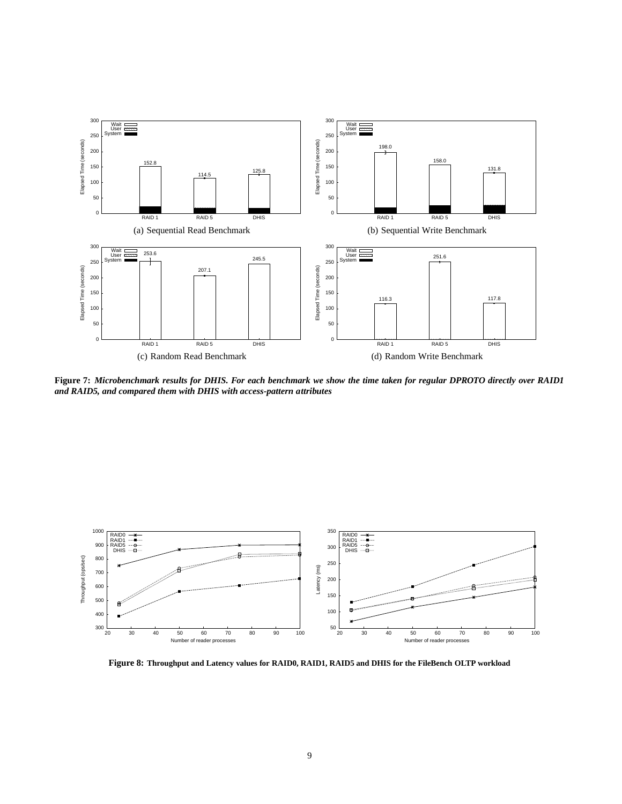

**Figure 7:** *Microbenchmark results for DHIS. For each benchmark we show the time taken for regular DPROTO directly over RAID1 and RAID5, and compared them with DHIS with access-pattern attributes*



**Figure 8: Throughput and Latency values for RAID0, RAID1, RAID5 and DHIS for the FileBench OLTP workload**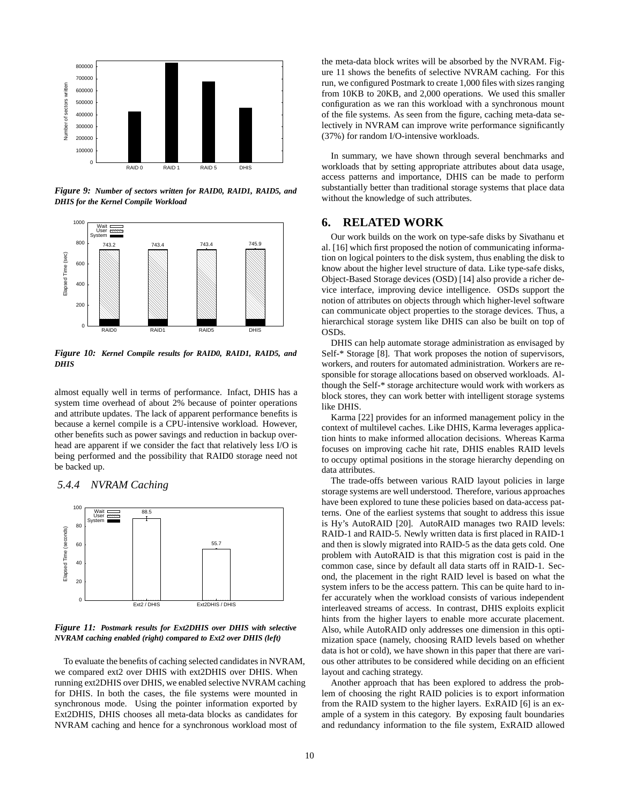

*Figure 9: Number of sectors written for RAID0, RAID1, RAID5, and DHIS for the Kernel Compile Workload*



*Figure 10: Kernel Compile results for RAID0, RAID1, RAID5, and DHIS*

almost equally well in terms of performance. Infact, DHIS has a system time overhead of about 2% because of pointer operations and attribute updates. The lack of apparent performance benefits is because a kernel compile is a CPU-intensive workload. However, other benefits such as power savings and reduction in backup overhead are apparent if we consider the fact that relatively less I/O is being performed and the possibility that RAID0 storage need not be backed up.





*Figure 11: Postmark results for Ext2DHIS over DHIS with selective NVRAM caching enabled (right) compared to Ext2 over DHIS (left)*

To evaluate the benefits of caching selected candidates in NVRAM, we compared ext2 over DHIS with ext2DHIS over DHIS. When running ext2DHIS over DHIS, we enabled selective NVRAM caching for DHIS. In both the cases, the file systems were mounted in synchronous mode. Using the pointer information exported by Ext2DHIS, DHIS chooses all meta-data blocks as candidates for NVRAM caching and hence for a synchronous workload most of

the meta-data block writes will be absorbed by the NVRAM. Figure 11 shows the benefits of selective NVRAM caching. For this run, we configured Postmark to create 1,000 files with sizes ranging from 10KB to 20KB, and 2,000 operations. We used this smaller configuration as we ran this workload with a synchronous mount of the file systems. As seen from the figure, caching meta-data selectively in NVRAM can improve write performance significantly (37%) for random I/O-intensive workloads.

In summary, we have shown through several benchmarks and workloads that by setting appropriate attributes about data usage, access patterns and importance, DHIS can be made to perform substantially better than traditional storage systems that place data without the knowledge of such attributes.

# **6. RELATED WORK**

Our work builds on the work on type-safe disks by Sivathanu et al. [16] which first proposed the notion of communicating information on logical pointers to the disk system, thus enabling the disk to know about the higher level structure of data. Like type-safe disks, Object-Based Storage devices (OSD) [14] also provide a richer device interface, improving device intelligence. OSDs support the notion of attributes on objects through which higher-level software can communicate object properties to the storage devices. Thus, a hierarchical storage system like DHIS can also be built on top of OSDs.

DHIS can help automate storage administration as envisaged by Self-\* Storage [8]. That work proposes the notion of supervisors, workers, and routers for automated administration. Workers are responsible for storage allocations based on observed workloads. Although the Self-\* storage architecture would work with workers as block stores, they can work better with intelligent storage systems like DHIS.

Karma [22] provides for an informed management policy in the context of multilevel caches. Like DHIS, Karma leverages application hints to make informed allocation decisions. Whereas Karma focuses on improving cache hit rate, DHIS enables RAID levels to occupy optimal positions in the storage hierarchy depending on data attributes.

The trade-offs between various RAID layout policies in large storage systems are well understood. Therefore, various approaches have been explored to tune these policies based on data-access patterns. One of the earliest systems that sought to address this issue is Hy's AutoRAID [20]. AutoRAID manages two RAID levels: RAID-1 and RAID-5. Newly written data is first placed in RAID-1 and then is slowly migrated into RAID-5 as the data gets cold. One problem with AutoRAID is that this migration cost is paid in the common case, since by default all data starts off in RAID-1. Second, the placement in the right RAID level is based on what the system infers to be the access pattern. This can be quite hard to infer accurately when the workload consists of various independent interleaved streams of access. In contrast, DHIS exploits explicit hints from the higher layers to enable more accurate placement. Also, while AutoRAID only addresses one dimension in this optimization space (namely, choosing RAID levels based on whether data is hot or cold), we have shown in this paper that there are various other attributes to be considered while deciding on an efficient layout and caching strategy.

Another approach that has been explored to address the problem of choosing the right RAID policies is to export information from the RAID system to the higher layers. ExRAID [6] is an example of a system in this category. By exposing fault boundaries and redundancy information to the file system, ExRAID allowed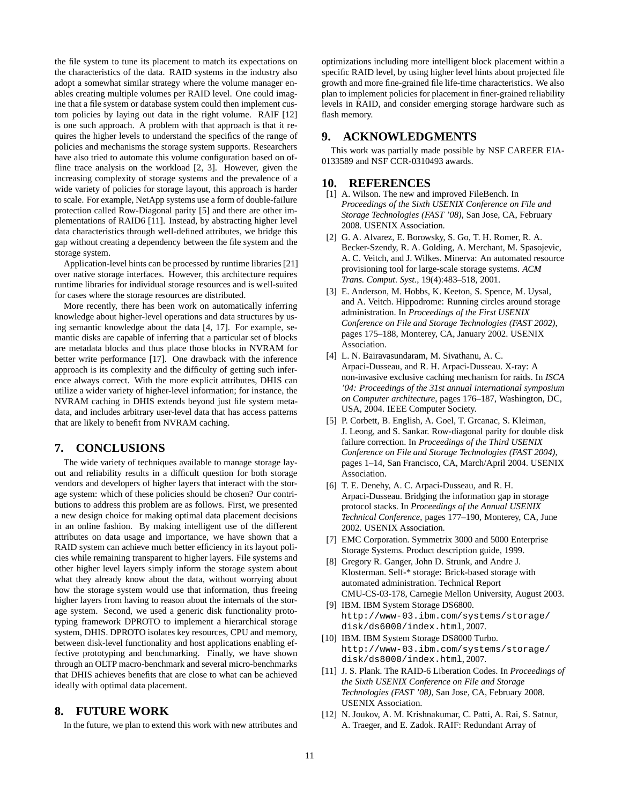the file system to tune its placement to match its expectations on the characteristics of the data. RAID systems in the industry also adopt a somewhat similar strategy where the volume manager enables creating multiple volumes per RAID level. One could imagine that a file system or database system could then implement custom policies by laying out data in the right volume. RAIF [12] is one such approach. A problem with that approach is that it requires the higher levels to understand the specifics of the range of policies and mechanisms the storage system supports. Researchers have also tried to automate this volume configuration based on offline trace analysis on the workload [2, 3]. However, given the increasing complexity of storage systems and the prevalence of a wide variety of policies for storage layout, this approach is harder to scale. For example, NetApp systems use a form of double-failure protection called Row-Diagonal parity [5] and there are other implementations of RAID6 [11]. Instead, by abstracting higher level data characteristics through well-defined attributes, we bridge this gap without creating a dependency between the file system and the storage system.

Application-level hints can be processed by runtime libraries [21] over native storage interfaces. However, this architecture requires runtime libraries for individual storage resources and is well-suited for cases where the storage resources are distributed.

More recently, there has been work on automatically inferring knowledge about higher-level operations and data structures by using semantic knowledge about the data [4, 17]. For example, semantic disks are capable of inferring that a particular set of blocks are metadata blocks and thus place those blocks in NVRAM for better write performance [17]. One drawback with the inference approach is its complexity and the difficulty of getting such inference always correct. With the more explicit attributes, DHIS can utilize a wider variety of higher-level information; for instance, the NVRAM caching in DHIS extends beyond just file system metadata, and includes arbitrary user-level data that has access patterns that are likely to benefit from NVRAM caching.

# **7. CONCLUSIONS**

The wide variety of techniques available to manage storage layout and reliability results in a difficult question for both storage vendors and developers of higher layers that interact with the storage system: which of these policies should be chosen? Our contributions to address this problem are as follows. First, we presented a new design choice for making optimal data placement decisions in an online fashion. By making intelligent use of the different attributes on data usage and importance, we have shown that a RAID system can achieve much better efficiency in its layout policies while remaining transparent to higher layers. File systems and other higher level layers simply inform the storage system about what they already know about the data, without worrying about how the storage system would use that information, thus freeing higher layers from having to reason about the internals of the storage system. Second, we used a generic disk functionality prototyping framework DPROTO to implement a hierarchical storage system, DHIS. DPROTO isolates key resources, CPU and memory, between disk-level functionality and host applications enabling effective prototyping and benchmarking. Finally, we have shown through an OLTP macro-benchmark and several micro-benchmarks that DHIS achieves benefits that are close to what can be achieved ideally with optimal data placement.

# **8. FUTURE WORK**

In the future, we plan to extend this work with new attributes and

optimizations including more intelligent block placement within a specific RAID level, by using higher level hints about projected file growth and more fine-grained file life-time characteristics. We also plan to implement policies for placement in finer-grained reliability levels in RAID, and consider emerging storage hardware such as flash memory.

## **9. ACKNOWLEDGMENTS**

This work was partially made possible by NSF CAREER EIA-0133589 and NSF CCR-0310493 awards.

# **10. REFERENCES**

- [1] A. Wilson. The new and improved FileBench. In *Proceedings of the Sixth USENIX Conference on File and Storage Technologies (FAST '08)*, San Jose, CA, February 2008. USENIX Association.
- [2] G. A. Alvarez, E. Borowsky, S. Go, T. H. Romer, R. A. Becker-Szendy, R. A. Golding, A. Merchant, M. Spasojevic, A. C. Veitch, and J. Wilkes. Minerva: An automated resource provisioning tool for large-scale storage systems. *ACM Trans. Comput. Syst.*, 19(4):483–518, 2001.
- [3] E. Anderson, M. Hobbs, K. Keeton, S. Spence, M. Uysal, and A. Veitch. Hippodrome: Running circles around storage administration. In *Proceedings of the First USENIX Conference on File and Storage Technologies (FAST 2002)*, pages 175–188, Monterey, CA, January 2002. USENIX Association.
- [4] L. N. Bairavasundaram, M. Sivathanu, A. C. Arpaci-Dusseau, and R. H. Arpaci-Dusseau. X-ray: A non-invasive exclusive caching mechanism for raids. In *ISCA '04: Proceedings of the 31st annual international symposium on Computer architecture*, pages 176–187, Washington, DC, USA, 2004. IEEE Computer Society.
- [5] P. Corbett, B. English, A. Goel, T. Grcanac, S. Kleiman, J. Leong, and S. Sankar. Row-diagonal parity for double disk failure correction. In *Proceedings of the Third USENIX Conference on File and Storage Technologies (FAST 2004)*, pages 1–14, San Francisco, CA, March/April 2004. USENIX Association.
- [6] T. E. Denehy, A. C. Arpaci-Dusseau, and R. H. Arpaci-Dusseau. Bridging the information gap in storage protocol stacks. In *Proceedings of the Annual USENIX Technical Conference*, pages 177–190, Monterey, CA, June 2002. USENIX Association.
- [7] EMC Corporation. Symmetrix 3000 and 5000 Enterprise Storage Systems. Product description guide, 1999.
- [8] Gregory R. Ganger, John D. Strunk, and Andre J. Klosterman. Self-\* storage: Brick-based storage with automated administration. Technical Report CMU-CS-03-178, Carnegie Mellon University, August 2003.
- [9] IBM. IBM System Storage DS6800. http://www-03.ibm.com/systems/storage/ disk/ds6000/index.html, 2007.
- [10] IBM. IBM System Storage DS8000 Turbo. http://www-03.ibm.com/systems/storage/ disk/ds8000/index.html, 2007.
- [11] J. S. Plank. The RAID-6 Liberation Codes. In *Proceedings of the Sixth USENIX Conference on File and Storage Technologies (FAST '08)*, San Jose, CA, February 2008. USENIX Association.
- [12] N. Joukov, A. M. Krishnakumar, C. Patti, A. Rai, S. Satnur, A. Traeger, and E. Zadok. RAIF: Redundant Array of